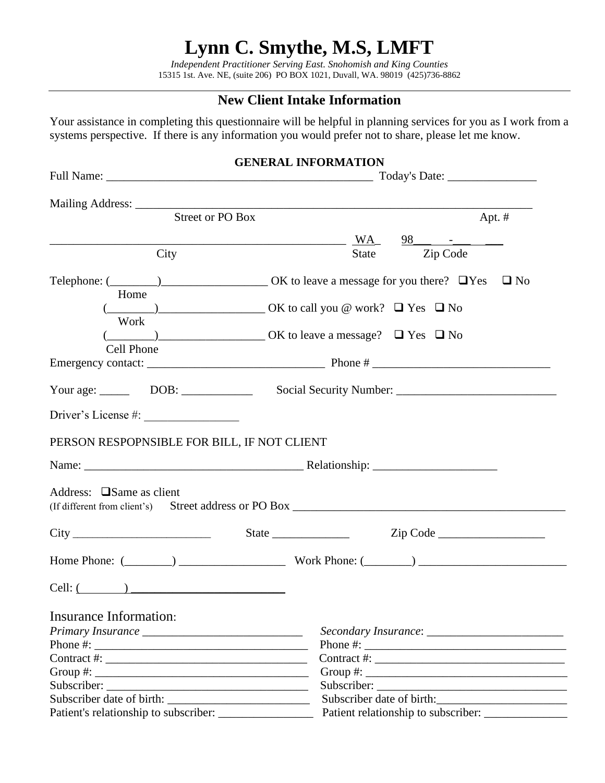# **Lynn C. Smythe, M.S, LMFT**

*Independent Practitioner Serving East. Snohomish and King Counties* 15315 1st. Ave. NE, (suite 206) PO BOX 1021, Duvall, WA. 98019 (425)736-8862

# **New Client Intake Information**

Your assistance in completing this questionnaire will be helpful in planning services for you as I work from a systems perspective. If there is any information you would prefer not to share, please let me know.

|                                                                                                                                                                                                                                                                                                        | <b>GENERAL INFORMATION</b>                                                                                     |
|--------------------------------------------------------------------------------------------------------------------------------------------------------------------------------------------------------------------------------------------------------------------------------------------------------|----------------------------------------------------------------------------------------------------------------|
|                                                                                                                                                                                                                                                                                                        |                                                                                                                |
|                                                                                                                                                                                                                                                                                                        |                                                                                                                |
| <b>Street or PO Box</b>                                                                                                                                                                                                                                                                                | Apt. #                                                                                                         |
|                                                                                                                                                                                                                                                                                                        | $\overline{\text{WA}}$                                                                                         |
| <u> 1980 - Johann Barbara, martin amerikan basal dan berasal dan berasal dalam basal dalam basal dalam basal dala</u><br>City                                                                                                                                                                          | Zip Code<br>State                                                                                              |
| Home                                                                                                                                                                                                                                                                                                   | Telephone: $(\_\_\_\_\_)$ $\_\_\_\_\_\_$ OK to leave a message for you there? $\Box$ Yes $\Box$ No             |
|                                                                                                                                                                                                                                                                                                        | $\underline{\hspace{1cm}}$ (OK to call you @ work? $\square$ Yes $\square$ No                                  |
| Work<br>Cell Phone                                                                                                                                                                                                                                                                                     | $(\underline{\hspace{1cm}})$ $\phantom{\times}$ OK to leave a message? $\phantom{\times}$ Pes $\phantom{1}$ No |
|                                                                                                                                                                                                                                                                                                        |                                                                                                                |
|                                                                                                                                                                                                                                                                                                        |                                                                                                                |
| Driver's License #:                                                                                                                                                                                                                                                                                    |                                                                                                                |
| PERSON RESPOPNSIBLE FOR BILL, IF NOT CLIENT                                                                                                                                                                                                                                                            |                                                                                                                |
|                                                                                                                                                                                                                                                                                                        |                                                                                                                |
|                                                                                                                                                                                                                                                                                                        |                                                                                                                |
| Address: $\square$ Same as client                                                                                                                                                                                                                                                                      |                                                                                                                |
|                                                                                                                                                                                                                                                                                                        |                                                                                                                |
|                                                                                                                                                                                                                                                                                                        | Home Phone: $(\_\_)$ Work Phone: $(\_\_)$                                                                      |
| $Cell:$ $\qquad \qquad$                                                                                                                                                                                                                                                                                |                                                                                                                |
| <b>Insurance Information:</b>                                                                                                                                                                                                                                                                          |                                                                                                                |
|                                                                                                                                                                                                                                                                                                        |                                                                                                                |
| Phone #: $\frac{1}{2}$ = $\frac{1}{2}$ = $\frac{1}{2}$ = $\frac{1}{2}$ = $\frac{1}{2}$ = $\frac{1}{2}$ = $\frac{1}{2}$ = $\frac{1}{2}$ = $\frac{1}{2}$ = $\frac{1}{2}$ = $\frac{1}{2}$ = $\frac{1}{2}$ = $\frac{1}{2}$ = $\frac{1}{2}$ = $\frac{1}{2}$ = $\frac{1}{2}$ = $\frac{1}{2}$ = $\frac{1}{2}$ |                                                                                                                |
|                                                                                                                                                                                                                                                                                                        |                                                                                                                |
|                                                                                                                                                                                                                                                                                                        |                                                                                                                |
|                                                                                                                                                                                                                                                                                                        |                                                                                                                |
|                                                                                                                                                                                                                                                                                                        | Subscriber date of birth:                                                                                      |
|                                                                                                                                                                                                                                                                                                        |                                                                                                                |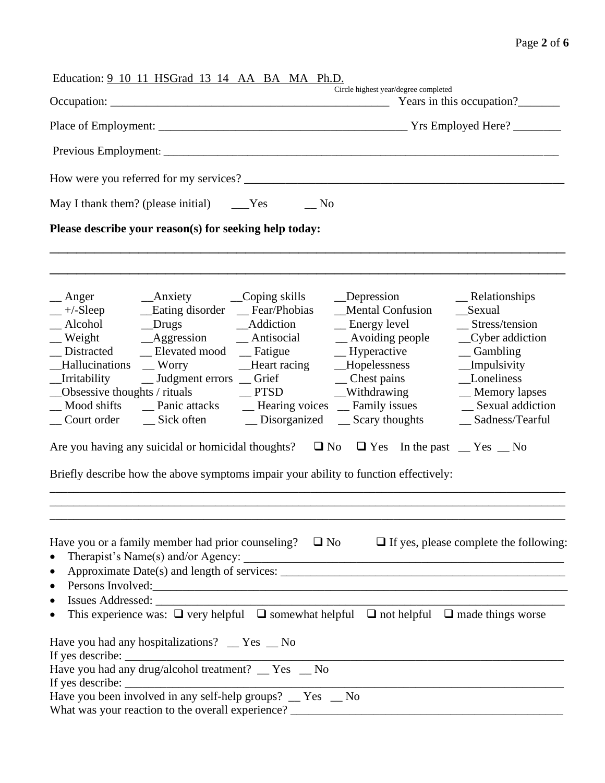|                                                               | Education: 9 10 11 HSGrad 13 14 AA BA MA Ph.D.                                                                                                                    |             | Circle highest year/degree completed                                                                                                                                                                                                                                                                                                                                                                                                                                                                                                        |                                                                                                                                                                                             |
|---------------------------------------------------------------|-------------------------------------------------------------------------------------------------------------------------------------------------------------------|-------------|---------------------------------------------------------------------------------------------------------------------------------------------------------------------------------------------------------------------------------------------------------------------------------------------------------------------------------------------------------------------------------------------------------------------------------------------------------------------------------------------------------------------------------------------|---------------------------------------------------------------------------------------------------------------------------------------------------------------------------------------------|
|                                                               |                                                                                                                                                                   |             |                                                                                                                                                                                                                                                                                                                                                                                                                                                                                                                                             | Years in this occupation?______                                                                                                                                                             |
|                                                               |                                                                                                                                                                   |             |                                                                                                                                                                                                                                                                                                                                                                                                                                                                                                                                             |                                                                                                                                                                                             |
|                                                               |                                                                                                                                                                   |             |                                                                                                                                                                                                                                                                                                                                                                                                                                                                                                                                             |                                                                                                                                                                                             |
|                                                               |                                                                                                                                                                   |             |                                                                                                                                                                                                                                                                                                                                                                                                                                                                                                                                             |                                                                                                                                                                                             |
|                                                               | May I thank them? (please initial) ______Yes                                                                                                                      | $\equiv$ No |                                                                                                                                                                                                                                                                                                                                                                                                                                                                                                                                             |                                                                                                                                                                                             |
|                                                               | Please describe your reason(s) for seeking help today:                                                                                                            |             |                                                                                                                                                                                                                                                                                                                                                                                                                                                                                                                                             |                                                                                                                                                                                             |
| $\equiv$ Anger<br>Distracted<br>Irritability                  | Alcohol Drugs Addiction<br>_Elevated mood _Eatigue<br>Hallucinations Worry Heart racing<br>Obsessive thoughts / rituals $\qquad \qquad \qquad \qquad \qquad$ PTSD |             | _Depression<br><b>Mental Confusion</b><br>_Energy level<br>$\equiv$ Hyperactive<br>__Hopelessness<br>__ Judgment errors __ Grief ___ Chest pains<br>__Withdrawing<br>Mood shifts ______ Panic attacks _________ Hearing voices _____ Family issues<br>Court order Court Sick often Conservative Disorganized Court order Scary thoughts<br>Are you having any suicidal or homicidal thoughts? $\Box$ No $\Box$ Yes In the past $\Box$ Yes $\Box$ No<br>Briefly describe how the above symptoms impair your ability to function effectively: | $\mathbf{R}$ Relationships<br>_Sexual<br>_Stress/tension<br>_Cyber addiction<br>$\equiv$ Gambling<br>_Impulsivity<br>Loneliness<br>_Memory lapses<br>_ Sexual addiction<br>_Sadness/Tearful |
| $\bullet$<br>$\bullet$<br>$\bullet$<br>$\bullet$<br>$\bullet$ | Have you had any hospitalizations? _ Yes _ No<br>Have you had any drug/alcohol treatment? _ Yes _ No                                                              |             | Have you or a family member had prior counseling? $\square$ No $\square$ If yes, please complete the following:<br>Therapist's Name(s) and/or Agency:<br>Persons Involved:<br>This experience was: $\Box$ very helpful $\Box$ somewhat helpful $\Box$ not helpful $\Box$ made things worse<br>If yes describe: $\frac{ }{ }$<br>Have you been involved in any self-help groups? $\frac{ }{ }$ Yes $\frac{ }{ }$ No                                                                                                                          |                                                                                                                                                                                             |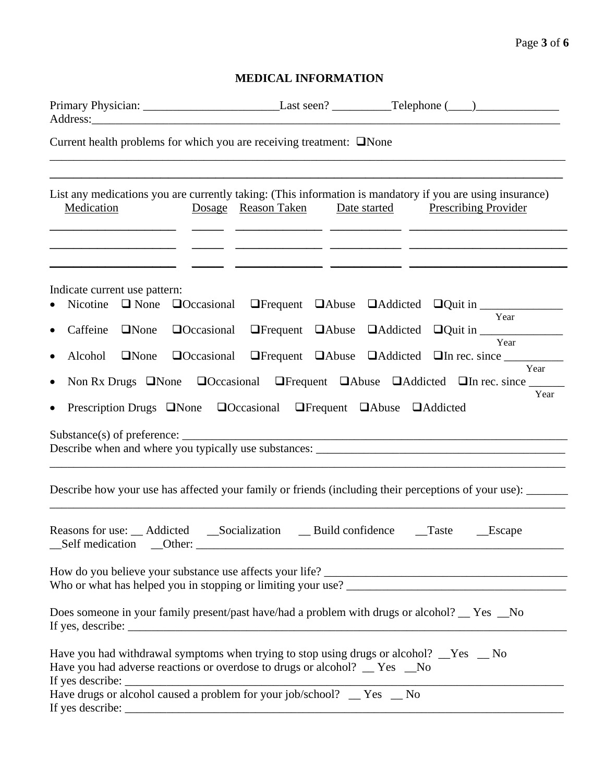## Page **3** of **6**

## **MEDICAL INFORMATION**

| Current health problems for which you are receiving treatment: $\square$ None                                                                                                                                                                                                                                             |                                                                                                                                |              |                                                                                                                                                                                                                                                                                                                                                                                                                                                                                                                                                |
|---------------------------------------------------------------------------------------------------------------------------------------------------------------------------------------------------------------------------------------------------------------------------------------------------------------------------|--------------------------------------------------------------------------------------------------------------------------------|--------------|------------------------------------------------------------------------------------------------------------------------------------------------------------------------------------------------------------------------------------------------------------------------------------------------------------------------------------------------------------------------------------------------------------------------------------------------------------------------------------------------------------------------------------------------|
| List any medications you are currently taking: (This information is mandatory if you are using insurance)<br>Medication                                                                                                                                                                                                   | Dosage Reason Taken                                                                                                            | Date started | <b>Prescribing Provider</b>                                                                                                                                                                                                                                                                                                                                                                                                                                                                                                                    |
| Indicate current use pattern:<br>$\Box$ None<br>Nicotine<br>$\bullet$<br>Caffeine<br>$\Box$ None<br>$\bullet$<br>Alcohol<br>$\Box$ None<br>$\bullet$<br>$\bullet$<br>$\bullet$                                                                                                                                            | $\Box$ Occasional<br><b>O</b> ccasional<br>$\Box$ Occasional<br>Prescription Drugs None Noccasional UFrequent NAbuse NAddicted |              | <b>Organizer Carl Addicted Over the Context</b> Prequent Cabuse Caddicted Over in <u>Context</u><br>Year<br>$\Box$ Frequent $\Box$ Abuse $\Box$ Addicted $\Box$ Quit in $\frac{\Box}{\Box}$<br><b>Online CAD CAD CAD CONSERVING CONTRACT CONTRACT CONTRACT CONTRACT CONTRACT CONTRACT CONTRACT CONTRACT CONTRACT CONTRACT CONTRACT CONTRACT CONTRACT CONTRACT CONTRACT CONTRACT CONTRACT CONTRACT CONTRACT CONTRACT CONTRACT CO</b><br>Year<br>Non Rx Drugs <b>ONone OCCAMIC ONE ORTHOUGHT </b> DAbuse <b>OAddicted OIn rec. since</b><br>Year |
| Describe how your use has affected your family or friends (including their perceptions of your use):                                                                                                                                                                                                                      |                                                                                                                                |              |                                                                                                                                                                                                                                                                                                                                                                                                                                                                                                                                                |
| Reasons for use: __ Addicted ___ __ __ Socialization ______ Build confidence                                                                                                                                                                                                                                              |                                                                                                                                |              | $\Gamma$ aste<br>$\_\$ Escape                                                                                                                                                                                                                                                                                                                                                                                                                                                                                                                  |
|                                                                                                                                                                                                                                                                                                                           |                                                                                                                                |              |                                                                                                                                                                                                                                                                                                                                                                                                                                                                                                                                                |
| Does someone in your family present/past have/had a problem with drugs or alcohol? __ Yes __No<br>If yes, describe: $\sqrt{\frac{1}{2} \sum_{n=1}^{n} (x_n - x_n)^2 + (y_n - y_n)^2}$                                                                                                                                     |                                                                                                                                |              |                                                                                                                                                                                                                                                                                                                                                                                                                                                                                                                                                |
| Have you had withdrawal symptoms when trying to stop using drugs or alcohol? $\_\text{Yes}$ $\_\text{No}$<br>Have you had adverse reactions or overdose to drugs or alcohol? __ Yes __No<br>If yes describe: $\frac{1}{\sqrt{1-\frac{1}{2}}}$<br>Have drugs or alcohol caused a problem for your job/school? __ Yes __ No |                                                                                                                                |              |                                                                                                                                                                                                                                                                                                                                                                                                                                                                                                                                                |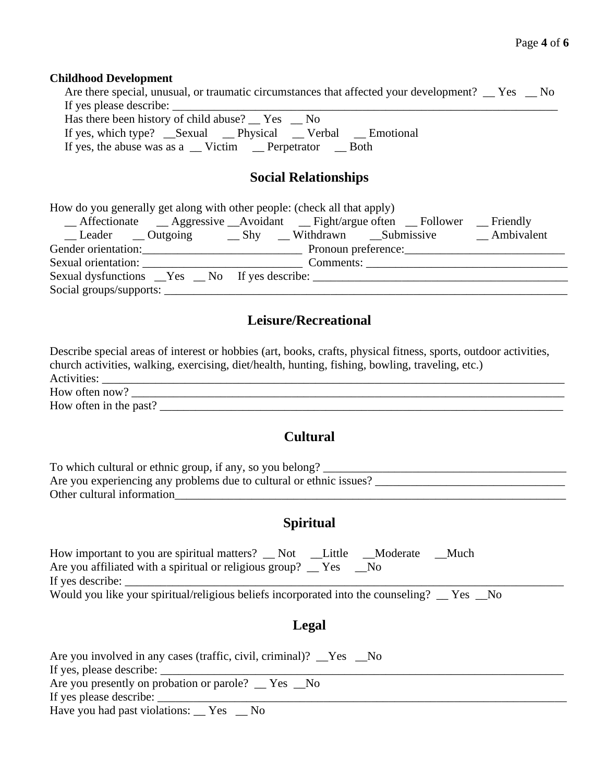#### **Childhood Development**

| Are there special, unusual, or traumatic circumstances that affected your development? _ Yes _ No |
|---------------------------------------------------------------------------------------------------|
| If yes please describe:                                                                           |
| Has there been history of child abuse? $\_\text{res}$ $\_\text{res}$ $\_\text{No}$                |
| If yes, which type? Sexual Physical Verbal Emotional                                              |
| If yes, the abuse was as a __ Victim __ Perpetrator __ Both                                       |
|                                                                                                   |
| <b>Social Relationships</b>                                                                       |
|                                                                                                   |
|                                                                                                   |

| How do you generally get along with other people: (check all that apply)         |  |           |                   |  |  |
|----------------------------------------------------------------------------------|--|-----------|-------------------|--|--|
| _Affectionate __Aggressive __Avoidant __Fight/argue often __Follower             |  |           | $\equiv$ Friendly |  |  |
| Leader __ Outgoing __ Shy __ Withdrawn __ Submissive __ Ambivalent               |  |           |                   |  |  |
| Gender orientation: Pronoun preference: Pronoun preference:                      |  |           |                   |  |  |
| Sexual orientation:                                                              |  | Comments: |                   |  |  |
| Sexual dysfunctions __Yes __No If yes describe: ________________________________ |  |           |                   |  |  |
|                                                                                  |  |           |                   |  |  |

## **Leisure/Recreational**

Describe special areas of interest or hobbies (art, books, crafts, physical fitness, sports, outdoor activities, church activities, walking, exercising, diet/health, hunting, fishing, bowling, traveling, etc.) Activities: \_\_\_\_\_\_\_\_\_\_\_\_\_\_\_\_\_\_\_\_\_\_\_\_\_\_\_\_\_\_\_\_\_\_\_\_\_\_\_\_\_\_\_\_\_\_\_\_\_\_\_\_\_\_\_\_\_\_\_\_\_\_\_\_\_\_\_\_\_\_\_\_\_\_\_\_\_\_ How often now? \_\_\_\_\_\_\_\_\_\_\_\_\_\_\_\_\_\_\_\_\_\_\_\_\_\_\_\_\_\_\_\_\_\_\_\_\_\_\_\_\_\_\_\_\_\_\_\_\_\_\_\_\_\_\_\_\_\_\_\_\_\_\_\_\_\_\_\_\_\_\_\_\_

How often in the past? \_\_\_\_\_\_\_\_\_\_\_\_\_\_\_\_\_\_\_\_\_\_\_\_\_\_\_\_\_\_\_\_\_\_\_\_\_\_\_\_\_\_\_\_\_\_\_\_\_\_\_\_\_\_\_\_\_\_\_\_\_\_\_\_\_\_\_\_

# **Cultural**

| To which cultural or ethnic group, if any, so you belong?           |  |
|---------------------------------------------------------------------|--|
| Are you experiencing any problems due to cultural or ethnic issues? |  |
| Other cultural information                                          |  |

### **Spiritual**

| How important to you are spiritual matters? _ Not                                           | Little | Moderate | Much |  |
|---------------------------------------------------------------------------------------------|--------|----------|------|--|
| Are you affiliated with a spiritual or religious group? $\Gamma$ Yes                        |        |          |      |  |
| If yes describe:                                                                            |        |          |      |  |
| Would you like your spiritual/religious beliefs incorporated into the counseling? _ Yes _No |        |          |      |  |

#### **Legal**

| Are you involved in any cases (traffic, civil, criminal)? <u>Ves</u> No |
|-------------------------------------------------------------------------|
| If yes, please describe:                                                |
| Are you presently on probation or parole? Tes No                        |
| If yes please describe:                                                 |
| Have you had past violations: $\_\ Y$ es $\_\$ No                       |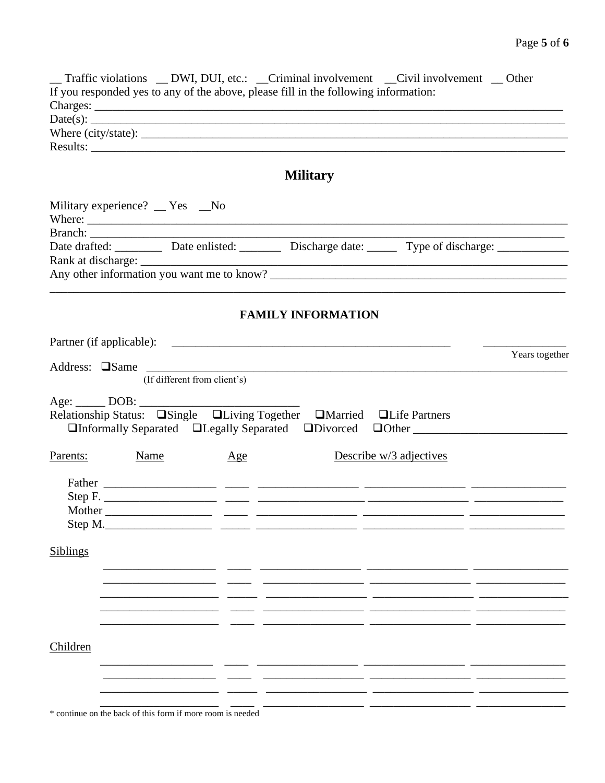|          |                                  |        | Traffic violations _ DWI, DUI, etc.: _ Criminal involvement _ Civil involvement _ Other                       |                |
|----------|----------------------------------|--------|---------------------------------------------------------------------------------------------------------------|----------------|
|          |                                  |        | If you responded yes to any of the above, please fill in the following information:                           |                |
|          |                                  |        |                                                                                                               |                |
|          |                                  |        | Date(s): $\qquad \qquad$                                                                                      |                |
|          |                                  |        |                                                                                                               |                |
|          |                                  |        |                                                                                                               |                |
|          |                                  |        |                                                                                                               |                |
|          |                                  |        | <b>Military</b>                                                                                               |                |
|          | Military experience? __ Yes __No |        |                                                                                                               |                |
|          |                                  |        |                                                                                                               |                |
|          |                                  | Where: |                                                                                                               |                |
|          |                                  |        |                                                                                                               |                |
|          |                                  |        | Date drafted: ___________ Date enlisted: _________ Discharge date: _______ Type of discharge: _______________ |                |
|          |                                  |        |                                                                                                               |                |
|          |                                  |        |                                                                                                               |                |
|          |                                  |        |                                                                                                               |                |
|          |                                  |        | <b>FAMILY INFORMATION</b>                                                                                     |                |
|          |                                  |        |                                                                                                               |                |
|          |                                  |        |                                                                                                               | Years together |
|          |                                  |        | Address: $\square$ Same (If different from client's)                                                          |                |
|          |                                  |        |                                                                                                               |                |
|          |                                  |        |                                                                                                               |                |
|          |                                  |        | Relationship Status: Single SLiving Together SMarried SLife Partners                                          |                |
|          |                                  |        | □Informally Separated □Legally Separated □Divorced □Other ______________________                              |                |
|          |                                  |        |                                                                                                               |                |
| Parents: | <b>Name</b>                      | Age    | Describe w/3 adjectives                                                                                       |                |
|          |                                  |        |                                                                                                               |                |
|          |                                  |        |                                                                                                               |                |
|          |                                  |        | Step F.                                                                                                       |                |
|          |                                  |        |                                                                                                               |                |
| Step M.  |                                  |        |                                                                                                               |                |
|          |                                  |        |                                                                                                               |                |
| Siblings |                                  |        |                                                                                                               |                |
|          |                                  |        |                                                                                                               |                |
|          |                                  |        |                                                                                                               |                |
|          |                                  |        |                                                                                                               |                |
|          |                                  |        |                                                                                                               |                |
|          |                                  |        |                                                                                                               |                |
|          |                                  |        |                                                                                                               |                |
|          |                                  |        |                                                                                                               |                |
| Children |                                  |        |                                                                                                               |                |
|          |                                  |        |                                                                                                               |                |
|          |                                  |        |                                                                                                               |                |
|          |                                  |        |                                                                                                               |                |
|          |                                  |        |                                                                                                               |                |

\* continue on the back of this form if more room is needed